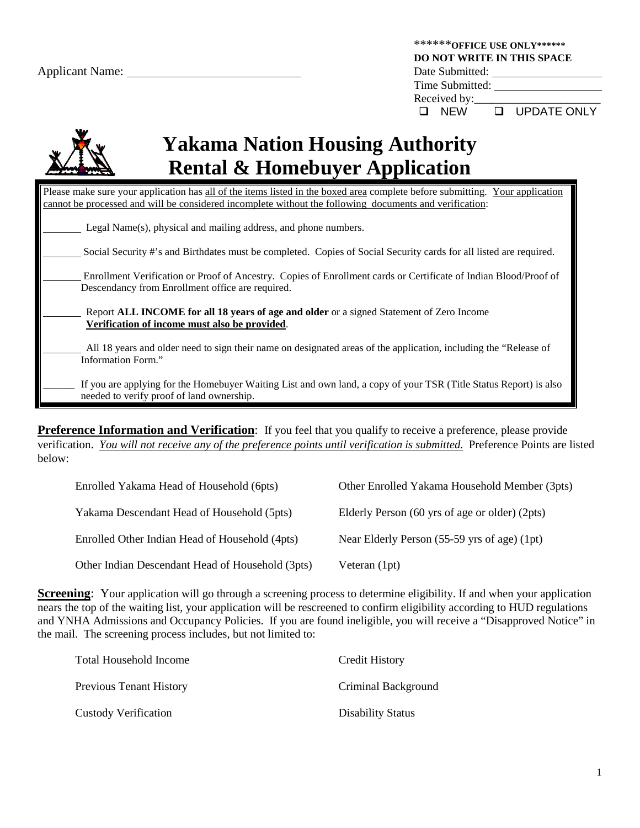|                        | ******* OFFICE USE ONLY******<br><b>DO NOT WRITE IN THIS SPACE</b> |
|------------------------|--------------------------------------------------------------------|
| <b>Applicant Name:</b> | Date Submitted:                                                    |
|                        | Time Submitted:                                                    |
|                        | Received by:                                                       |
|                        | <b>Q</b> UPDATE ONLY<br><b>NEW</b><br>ப                            |
|                        |                                                                    |



# **Yakama Nation Housing Authority Rental & Homebuyer Application**

| Please make sure your application has all of the items listed in the boxed area complete before submitting. Your application                                         |
|----------------------------------------------------------------------------------------------------------------------------------------------------------------------|
| cannot be processed and will be considered incomplete without the following documents and verification:                                                              |
| Legal Name(s), physical and mailing address, and phone numbers.                                                                                                      |
| Social Security #'s and Birthdates must be completed. Copies of Social Security cards for all listed are required.                                                   |
| Enrollment Verification or Proof of Ancestry. Copies of Enrollment cards or Certificate of Indian Blood/Proof of<br>Descendancy from Enrollment office are required. |
| Report ALL INCOME for all 18 years of age and older or a signed Statement of Zero Income<br>Verification of income must also be provided.                            |
| All 18 years and older need to sign their name on designated areas of the application, including the "Release of<br>Information Form."                               |
| If you are applying for the Homebuyer Waiting List and own land, a copy of your TSR (Title Status Report) is also<br>needed to verify proof of land ownership.       |

**Preference Information and Verification**: If you feel that you qualify to receive a preference, please provide verification. *You will not receive any of the preference points until verification is submitted.* Preference Points are listed below:

| Enrolled Yakama Head of Household (6pts)         | Other Enrolled Yakama Household Member (3pts)  |
|--------------------------------------------------|------------------------------------------------|
| Yakama Descendant Head of Household (5pts)       | Elderly Person (60 yrs of age or older) (2pts) |
| Enrolled Other Indian Head of Household (4pts)   | Near Elderly Person (55-59 yrs of age) (1pt)   |
| Other Indian Descendant Head of Household (3pts) | Veteran $(1pt)$                                |

**Screening**: Your application will go through a screening process to determine eligibility. If and when your application nears the top of the waiting list, your application will be rescreened to confirm eligibility according to HUD regulations and YNHA Admissions and Occupancy Policies. If you are found ineligible, you will receive a "Disapproved Notice" in the mail. The screening process includes, but not limited to:

| Total Household Income         | Credit History           |
|--------------------------------|--------------------------|
| <b>Previous Tenant History</b> | Criminal Background      |
| <b>Custody Verification</b>    | <b>Disability Status</b> |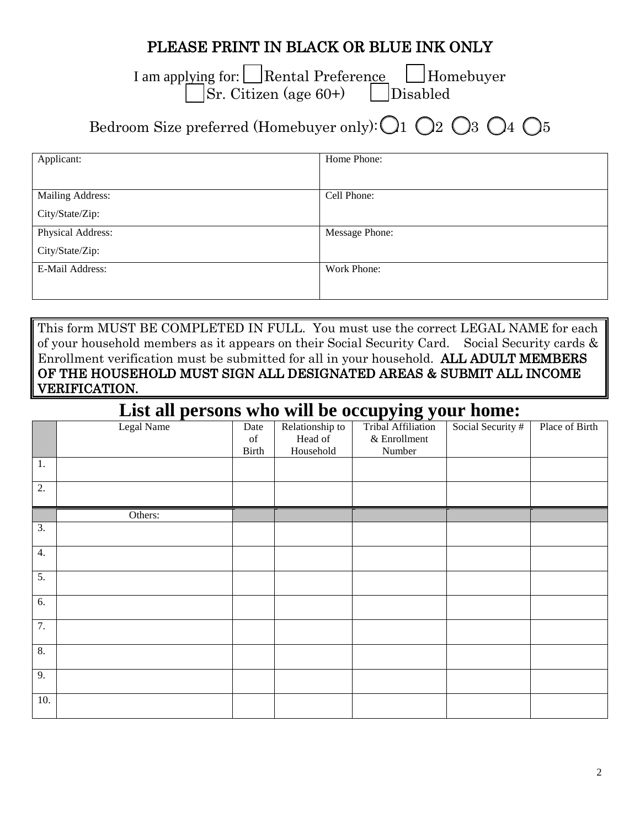## PLEASE PRINT IN BLACK OR BLUE INK ONLY

I am applying for: Rental Preference Homebuyer  $\vert$ Sr. Citizen (age 60+)  $\vert$  Disabled

## Bedroom Size preferred (Homebuyer only):  $\bigcirc$  1  $\bigcirc$  2  $\bigcirc$  3  $\bigcirc$  4  $\bigcirc$  5

| Applicant:        | Home Phone:    |
|-------------------|----------------|
|                   |                |
| Mailing Address:  | Cell Phone:    |
| City/State/Zip:   |                |
| Physical Address: | Message Phone: |
| City/State/Zip:   |                |
| E-Mail Address:   | Work Phone:    |
|                   |                |

This form MUST BE COMPLETED IN FULL. You must use the correct LEGAL NAME for each of your household members as it appears on their Social Security Card. Social Security cards & Enrollment verification must be submitted for all in your household. ALL ADULT MEMBERS OF THE HOUSEHOLD MUST SIGN ALL DESIGNATED AREAS & SUBMIT ALL INCOME VERIFICATION.

### **List all persons who will be occupying your home:**

|                  | Legal Name | Date                                                                                               | Relationship to | $\blacksquare$<br>Tribal Affiliation | Social Security # | Place of Birth |
|------------------|------------|----------------------------------------------------------------------------------------------------|-----------------|--------------------------------------|-------------------|----------------|
|                  |            | $% \left( \left( \mathcal{A},\mathcal{A}\right) \right) =\left( \mathcal{A},\mathcal{A}\right)$ of | Head of         | & Enrollment                         |                   |                |
|                  |            | Birth                                                                                              | Household       | Number                               |                   |                |
| 1.               |            |                                                                                                    |                 |                                      |                   |                |
| 2.               |            |                                                                                                    |                 |                                      |                   |                |
|                  | Others:    |                                                                                                    |                 |                                      |                   |                |
| $\overline{3}$ . |            |                                                                                                    |                 |                                      |                   |                |
| 4.               |            |                                                                                                    |                 |                                      |                   |                |
| 5.               |            |                                                                                                    |                 |                                      |                   |                |
| 6.               |            |                                                                                                    |                 |                                      |                   |                |
| 7.               |            |                                                                                                    |                 |                                      |                   |                |
| 8.               |            |                                                                                                    |                 |                                      |                   |                |
| 9.               |            |                                                                                                    |                 |                                      |                   |                |
| 10.              |            |                                                                                                    |                 |                                      |                   |                |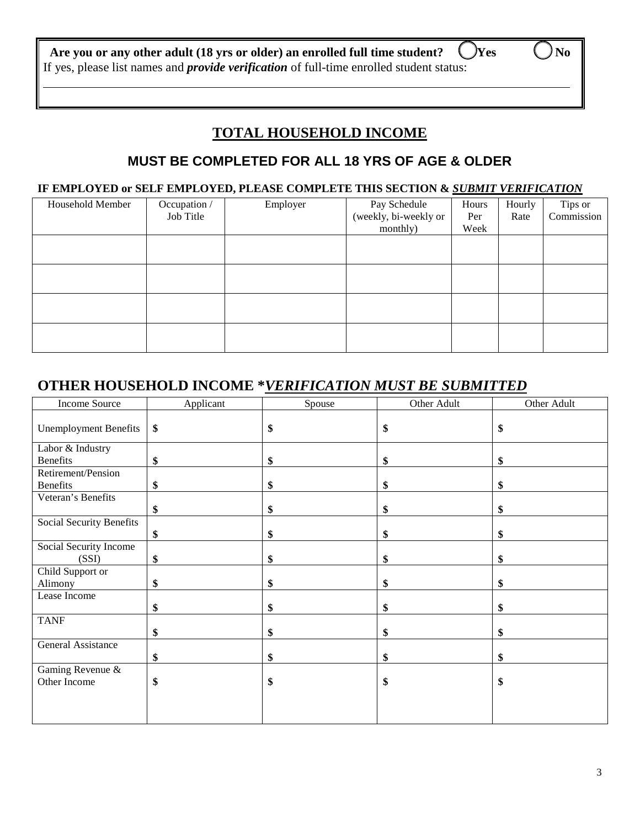#### **Are you or any other adult (18 yrs or older) an enrolled full time student? □ Yes □ No** If yes, please list names and *provide verification* of full-time enrolled student status:

 $\overline{a}$ 

## **TOTAL HOUSEHOLD INCOME**

#### **MUST BE COMPLETED FOR ALL 18 YRS OF AGE & OLDER**

#### **IF EMPLOYED or SELF EMPLOYED, PLEASE COMPLETE THIS SECTION &** *SUBMIT VERIFICATION*

| Household Member | Occupation /<br>Job Title | Employer | Pay Schedule<br>(weekly, bi-weekly or<br>monthly) | Hours<br>Per<br>Week | Hourly<br>Rate | Tips or<br>Commission |
|------------------|---------------------------|----------|---------------------------------------------------|----------------------|----------------|-----------------------|
|                  |                           |          |                                                   |                      |                |                       |
|                  |                           |          |                                                   |                      |                |                       |
|                  |                           |          |                                                   |                      |                |                       |
|                  |                           |          |                                                   |                      |                |                       |

### **OTHER HOUSEHOLD INCOME \****VERIFICATION MUST BE SUBMITTED*

| Income Source                | Applicant | Spouse | Other Adult | Other Adult |
|------------------------------|-----------|--------|-------------|-------------|
| <b>Unemployment Benefits</b> | \$        | \$     | \$          | \$          |
| Labor & Industry             |           |        |             |             |
| <b>Benefits</b>              | \$        | \$     | \$          | \$          |
| Retirement/Pension           |           |        |             |             |
| <b>Benefits</b>              | \$        | \$     | \$          | \$          |
| Veteran's Benefits           |           |        |             |             |
|                              | \$        | \$     | \$          | \$          |
| Social Security Benefits     |           |        |             |             |
|                              | \$        | \$     | \$          | \$          |
| Social Security Income       |           |        |             |             |
| (SSI)                        | \$        | \$     | \$          | \$          |
| Child Support or             |           |        |             |             |
| Alimony                      | \$        | \$     | \$          | \$          |
| Lease Income                 |           |        |             |             |
|                              | \$        | \$     | \$          | \$          |
| <b>TANF</b>                  |           |        |             |             |
|                              | \$        | \$     | \$          | \$          |
| General Assistance           |           |        |             |             |
|                              | \$        | \$     | \$          | \$          |
| Gaming Revenue &             |           |        |             |             |
| Other Income                 | \$        | \$     | \$          | \$          |
|                              |           |        |             |             |
|                              |           |        |             |             |
|                              |           |        |             |             |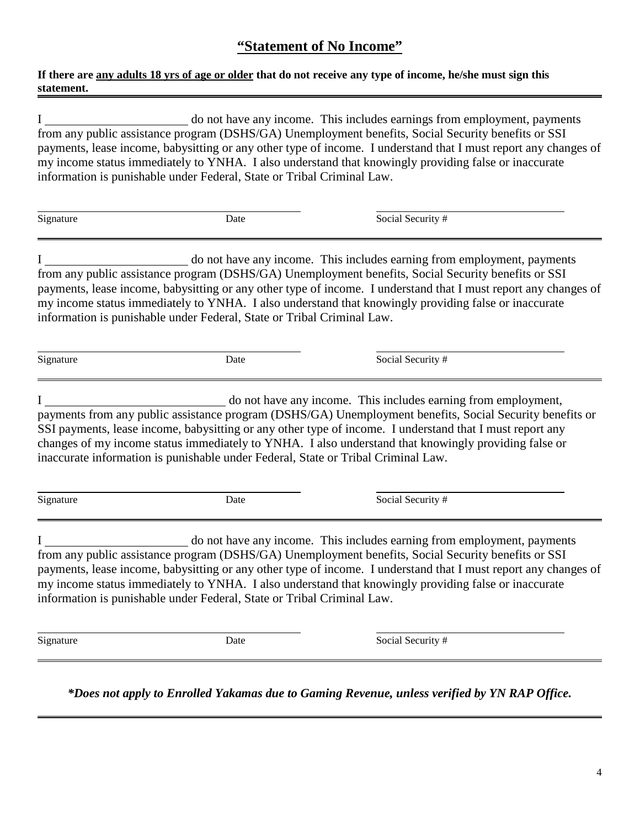### **"Statement of No Income"**

#### **If there are any adults 18 yrs of age or older that do not receive any type of income, he/she must sign this statement.**

I do not have any income. This includes earnings from employment, payments from any public assistance program (DSHS/GA) Unemployment benefits, Social Security benefits or SSI payments, lease income, babysitting or any other type of income. I understand that I must report any changes of my income status immediately to YNHA. I also understand that knowingly providing false or inaccurate information is punishable under Federal, State or Tribal Criminal Law.

| Signature | Date | Social Security # |
|-----------|------|-------------------|
|           |      |                   |

I do not have any income. This includes earning from employment, payments from any public assistance program (DSHS/GA) Unemployment benefits, Social Security benefits or SSI payments, lease income, babysitting or any other type of income. I understand that I must report any changes of my income status immediately to YNHA. I also understand that knowingly providing false or inaccurate information is punishable under Federal, State or Tribal Criminal Law.

 $\overline{a}$ 

Signature Date Date Social Security #

I do not have any income. This includes earning from employment, payments from any public assistance program (DSHS/GA) Unemployment benefits, Social Security benefits or SSI payments, lease income, babysitting or any other type of income. I understand that I must report any changes of my income status immediately to YNHA. I also understand that knowingly providing false or inaccurate information is punishable under Federal, State or Tribal Criminal Law.

 $\overline{a}$ 

Signature Date Date Social Security #

I do not have any income. This includes earning from employment, payments from any public assistance program (DSHS/GA) Unemployment benefits, Social Security benefits or SSI payments, lease income, babysitting or any other type of income. I understand that I must report any changes of my income status immediately to YNHA. I also understand that knowingly providing false or inaccurate information is punishable under Federal, State or Tribal Criminal Law.

 $\overline{a}$ 

Signature Date Date Social Security #

*\*Does not apply to Enrolled Yakamas due to Gaming Revenue, unless verified by YN RAP Office.*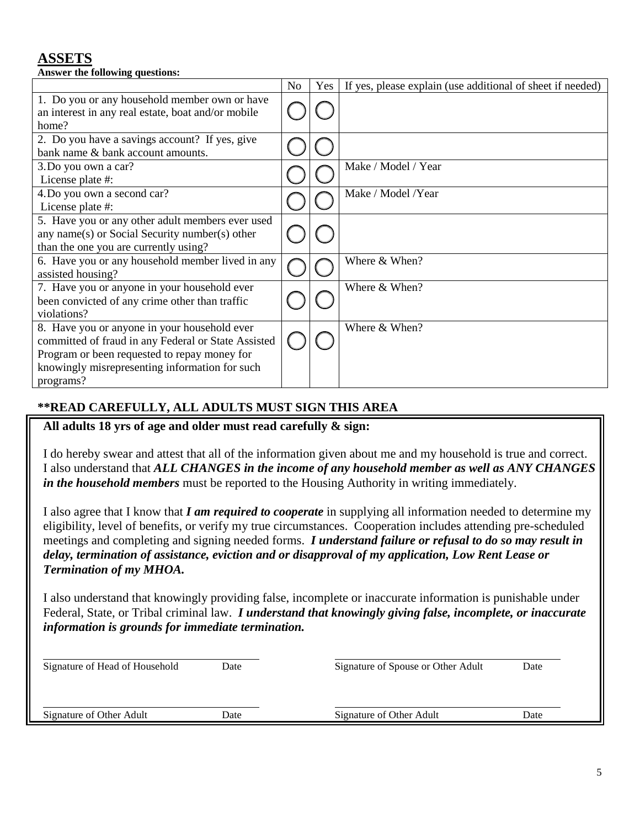### **ASSETS**

| Answer the following questions:                                                                                                                                                                                    |    |     |                                                            |
|--------------------------------------------------------------------------------------------------------------------------------------------------------------------------------------------------------------------|----|-----|------------------------------------------------------------|
|                                                                                                                                                                                                                    | No | Yes | If yes, please explain (use additional of sheet if needed) |
| 1. Do you or any household member own or have<br>an interest in any real estate, boat and/or mobile<br>home?                                                                                                       |    |     |                                                            |
| 2. Do you have a savings account? If yes, give<br>bank name & bank account amounts.                                                                                                                                |    |     |                                                            |
| 3. Do you own a car?<br>License plate #:                                                                                                                                                                           |    |     | Make / Model / Year                                        |
| 4. Do you own a second car?<br>License plate #:                                                                                                                                                                    |    |     | Make / Model /Year                                         |
| 5. Have you or any other adult members ever used<br>any name(s) or Social Security number(s) other<br>than the one you are currently using?                                                                        |    |     |                                                            |
| 6. Have you or any household member lived in any<br>assisted housing?                                                                                                                                              |    |     | Where & When?                                              |
| 7. Have you or anyone in your household ever<br>been convicted of any crime other than traffic<br>violations?                                                                                                      |    |     | Where & When?                                              |
| 8. Have you or anyone in your household ever<br>committed of fraud in any Federal or State Assisted<br>Program or been requested to repay money for<br>knowingly misrepresenting information for such<br>programs? |    |     | Where & When?                                              |

#### **\*\*READ CAREFULLY, ALL ADULTS MUST SIGN THIS AREA**

#### **All adults 18 yrs of age and older must read carefully & sign:**

I do hereby swear and attest that all of the information given about me and my household is true and correct. I also understand that *ALL CHANGES in the income of any household member as well as ANY CHANGES in the household members* must be reported to the Housing Authority in writing immediately.

I also agree that I know that *I am required to cooperate* in supplying all information needed to determine my eligibility, level of benefits, or verify my true circumstances. Cooperation includes attending pre-scheduled meetings and completing and signing needed forms. *I understand failure or refusal to do so may result in delay, termination of assistance, eviction and or disapproval of my application, Low Rent Lease or Termination of my MHOA.*

I also understand that knowingly providing false, incomplete or inaccurate information is punishable under Federal, State, or Tribal criminal law. *I understand that knowingly giving false, incomplete, or inaccurate information is grounds for immediate termination.*

| Signature of Head of Household | Date | Signature of Spouse or Other Adult | Date |  |
|--------------------------------|------|------------------------------------|------|--|
| Signature of Other Adult       | Date | Signature of Other Adult           | Date |  |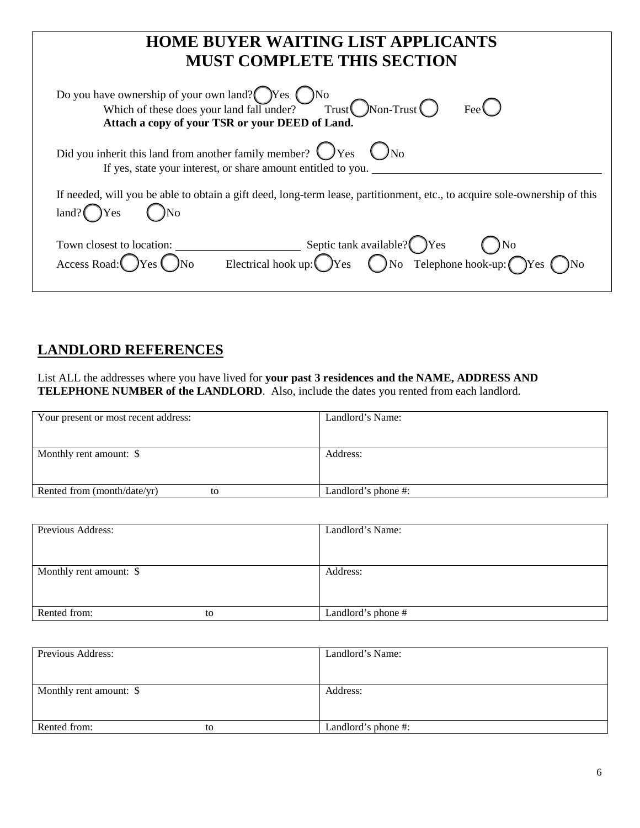| <b>HOME BUYER WAITING LIST APPLICANTS</b><br><b>MUST COMPLETE THIS SECTION</b>                                                                                                             |
|--------------------------------------------------------------------------------------------------------------------------------------------------------------------------------------------|
| Do you have ownership of your own land?<br>Which of these does your land fall under? Trust<br>Trust<br>Non-Trust<br>C<br>Fee $\bigcirc$<br>Attach a copy of your TSR or your DEED of Land. |
| Did you inherit this land from another family member? $\bigcirc$ Yes $\bigcirc$ No<br>If yes, state your interest, or share amount entitled to you.                                        |
| If needed, will you be able to obtain a gift deed, long-term lease, partitionment, etc., to acquire sole-ownership of this<br>$land?$ $\gamma$ $\gamma$                                    |
| Town closest to location: Septic tank available? OYes ONo<br>Access Road: OYes ONo Electrical hook up: OYes ONo Telephone hook-up: OYes ONo                                                |

## **LANDLORD REFERENCES**

List ALL the addresses where you have lived for **your past 3 residences and the NAME, ADDRESS AND TELEPHONE NUMBER of the LANDLORD**. Also, include the dates you rented from each landlord.

| Your present or most recent address: | Landlord's Name:    |
|--------------------------------------|---------------------|
|                                      |                     |
| Monthly rent amount: \$              | Address:            |
| Rented from (month/date/yr)<br>to    | Landlord's phone #: |

| Previous Address:       |    | Landlord's Name:   |
|-------------------------|----|--------------------|
|                         |    |                    |
|                         |    |                    |
| Monthly rent amount: \$ |    | Address:           |
|                         |    |                    |
|                         |    |                    |
| Rented from:            | to | Landlord's phone # |

| Previous Address:       |    | Landlord's Name:    |
|-------------------------|----|---------------------|
|                         |    |                     |
|                         |    |                     |
| Monthly rent amount: \$ |    | Address:            |
|                         |    |                     |
|                         |    |                     |
| Rented from:            | tο | Landlord's phone #: |